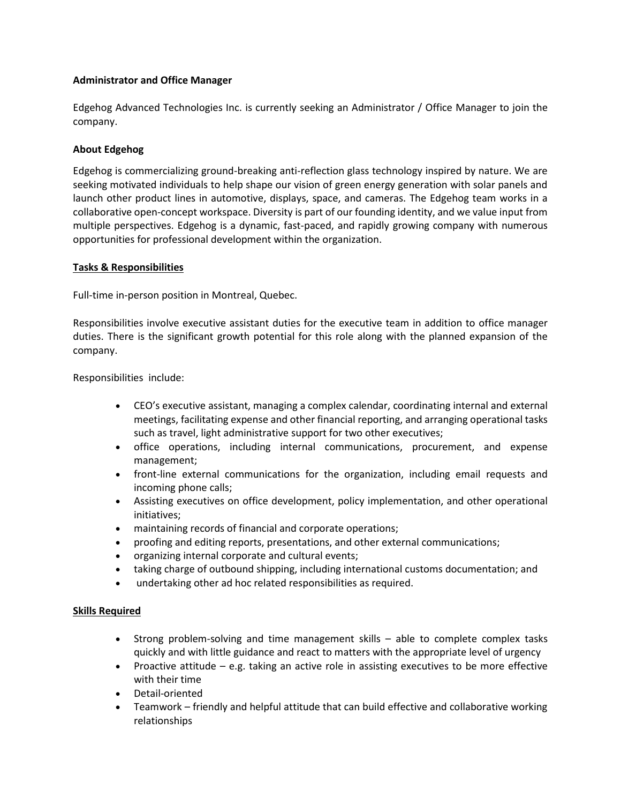## **Administrator and Office Manager**

Edgehog Advanced Technologies Inc. is currently seeking an Administrator / Office Manager to join the company.

# **About Edgehog**

Edgehog is commercializing ground-breaking anti-reflection glass technology inspired by nature. We are seeking motivated individuals to help shape our vision of green energy generation with solar panels and launch other product lines in automotive, displays, space, and cameras. The Edgehog team works in a collaborative open-concept workspace. Diversity is part of our founding identity, and we value input from multiple perspectives. Edgehog is a dynamic, fast-paced, and rapidly growing company with numerous opportunities for professional development within the organization.

### **Tasks & Responsibilities**

Full-time in-person position in Montreal, Quebec.

Responsibilities involve executive assistant duties for the executive team in addition to office manager duties. There is the significant growth potential for this role along with the planned expansion of the company.

Responsibilities include:

- CEO's executive assistant, managing a complex calendar, coordinating internal and external meetings, facilitating expense and other financial reporting, and arranging operational tasks such as travel, light administrative support for two other executives;
- office operations, including internal communications, procurement, and expense management;
- front-line external communications for the organization, including email requests and incoming phone calls;
- Assisting executives on office development, policy implementation, and other operational initiatives;
- maintaining records of financial and corporate operations;
- proofing and editing reports, presentations, and other external communications;
- organizing internal corporate and cultural events;
- taking charge of outbound shipping, including international customs documentation; and
- undertaking other ad hoc related responsibilities as required.

### **Skills Required**

- Strong problem-solving and time management skills able to complete complex tasks quickly and with little guidance and react to matters with the appropriate level of urgency
- Proactive attitude e.g. taking an active role in assisting executives to be more effective with their time
- Detail-oriented
- Teamwork friendly and helpful attitude that can build effective and collaborative working relationships